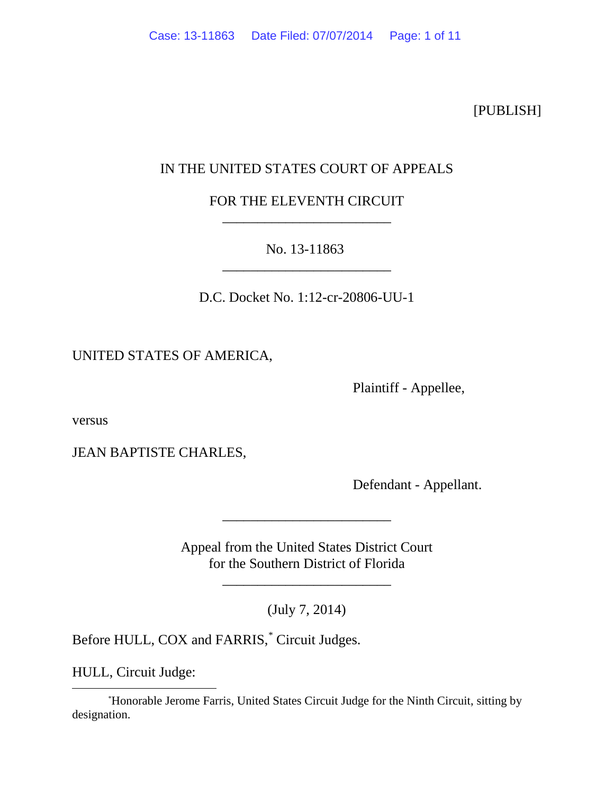[PUBLISH]

# IN THE UNITED STATES COURT OF APPEALS

# FOR THE ELEVENTH CIRCUIT \_\_\_\_\_\_\_\_\_\_\_\_\_\_\_\_\_\_\_\_\_\_\_\_

## No. 13-11863 \_\_\_\_\_\_\_\_\_\_\_\_\_\_\_\_\_\_\_\_\_\_\_\_

D.C. Docket No. 1:12-cr-20806-UU-1

UNITED STATES OF AMERICA,

Plaintiff - Appellee,

versus

JEAN BAPTISTE CHARLES,

Defendant - Appellant.

Appeal from the United States District Court for the Southern District of Florida

\_\_\_\_\_\_\_\_\_\_\_\_\_\_\_\_\_\_\_\_\_\_\_\_

(July 7, 2014)

\_\_\_\_\_\_\_\_\_\_\_\_\_\_\_\_\_\_\_\_\_\_\_\_

Before HULL, COX and FARRIS,<sup>[\\*](#page-0-0)</sup> Circuit Judges.

HULL, Circuit Judge:

<span id="page-0-0"></span> <sup>\*</sup> Honorable Jerome Farris, United States Circuit Judge for the Ninth Circuit, sitting by designation.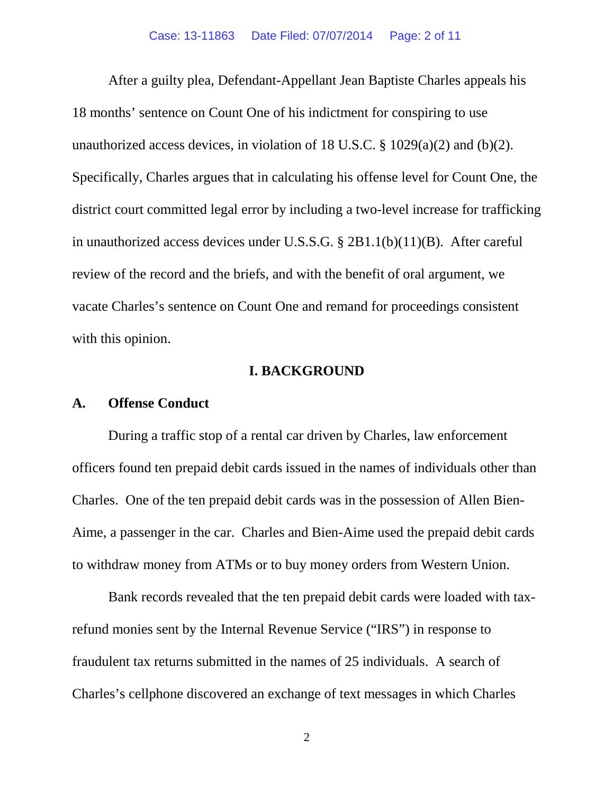After a guilty plea, Defendant-Appellant Jean Baptiste Charles appeals his 18 months' sentence on Count One of his indictment for conspiring to use unauthorized access devices, in violation of 18 U.S.C.  $\S$  1029(a)(2) and (b)(2). Specifically, Charles argues that in calculating his offense level for Count One, the district court committed legal error by including a two-level increase for trafficking in unauthorized access devices under U.S.S.G. § 2B1.1(b)(11)(B). After careful review of the record and the briefs, and with the benefit of oral argument, we vacate Charles's sentence on Count One and remand for proceedings consistent with this opinion.

## **I. BACKGROUND**

### **A. Offense Conduct**

During a traffic stop of a rental car driven by Charles, law enforcement officers found ten prepaid debit cards issued in the names of individuals other than Charles. One of the ten prepaid debit cards was in the possession of Allen Bien-Aime, a passenger in the car. Charles and Bien-Aime used the prepaid debit cards to withdraw money from ATMs or to buy money orders from Western Union.

Bank records revealed that the ten prepaid debit cards were loaded with taxrefund monies sent by the Internal Revenue Service ("IRS") in response to fraudulent tax returns submitted in the names of 25 individuals. A search of Charles's cellphone discovered an exchange of text messages in which Charles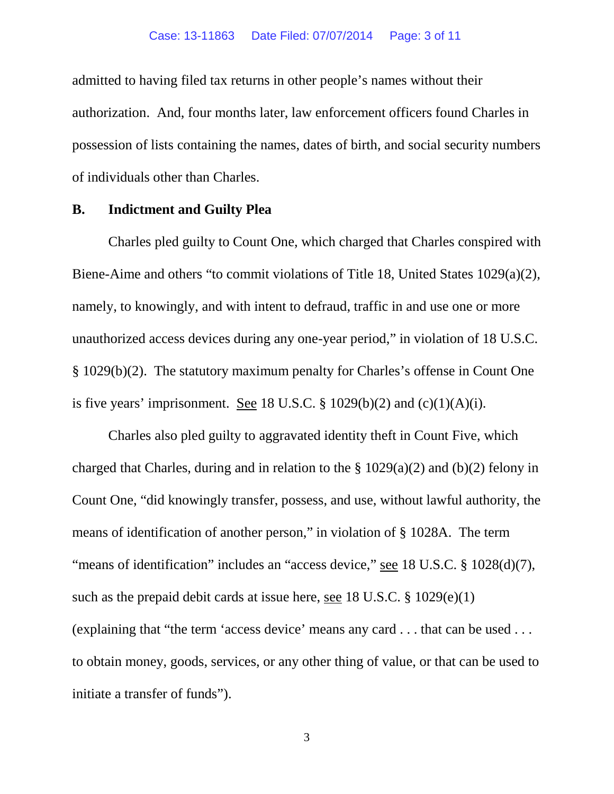admitted to having filed tax returns in other people's names without their authorization. And, four months later, law enforcement officers found Charles in possession of lists containing the names, dates of birth, and social security numbers of individuals other than Charles.

### **B. Indictment and Guilty Plea**

Charles pled guilty to Count One, which charged that Charles conspired with Biene-Aime and others "to commit violations of Title 18, United States 1029(a)(2), namely, to knowingly, and with intent to defraud, traffic in and use one or more unauthorized access devices during any one-year period," in violation of 18 U.S.C. § 1029(b)(2). The statutory maximum penalty for Charles's offense in Count One is five years' imprisonment. See 18 U.S.C.  $\S$  1029(b)(2) and (c)(1)(A)(i).

Charles also pled guilty to aggravated identity theft in Count Five, which charged that Charles, during and in relation to the  $\S 1029(a)(2)$  and (b)(2) felony in Count One, "did knowingly transfer, possess, and use, without lawful authority, the means of identification of another person," in violation of § 1028A. The term "means of identification" includes an "access device," see 18 U.S.C. § 1028(d)(7), such as the prepaid debit cards at issue here, see 18 U.S.C. § 1029(e)(1) (explaining that "the term 'access device' means any card . . . that can be used . . . to obtain money, goods, services, or any other thing of value, or that can be used to initiate a transfer of funds").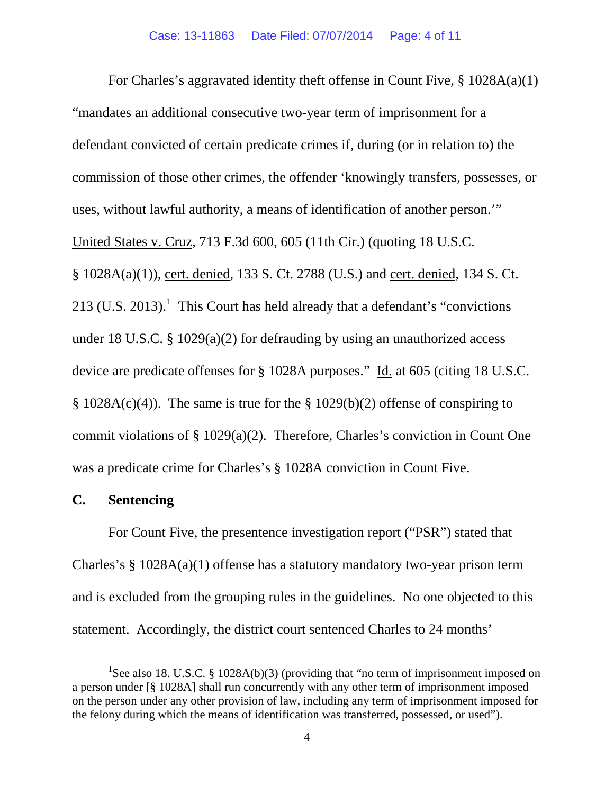For Charles's aggravated identity theft offense in Count Five, § 1028A(a)(1) "mandates an additional consecutive two-year term of imprisonment for a defendant convicted of certain predicate crimes if, during (or in relation to) the commission of those other crimes, the offender 'knowingly transfers, possesses, or uses, without lawful authority, a means of identification of another person.'" United States v. Cruz, 713 F.3d 600, 605 (11th Cir.) (quoting 18 U.S.C. § 1028A(a)(1)), cert. denied, 133 S. Ct. 2788 (U.S.) and cert. denied, 134 S. Ct. 2[1](#page-3-0)3 (U.S. 2013).<sup>1</sup> This Court has held already that a defendant's "convictions" under 18 U.S.C. § 1029(a)(2) for defrauding by using an unauthorized access device are predicate offenses for § 1028A purposes." Id. at 605 (citing 18 U.S.C.  $\S$  1028A(c)(4)). The same is true for the  $\S$  1029(b)(2) offense of conspiring to commit violations of § 1029(a)(2). Therefore, Charles's conviction in Count One was a predicate crime for Charles's § 1028A conviction in Count Five.

## **C. Sentencing**

For Count Five, the presentence investigation report ("PSR") stated that Charles's § 1028A(a)(1) offense has a statutory mandatory two-year prison term and is excluded from the grouping rules in the guidelines. No one objected to this statement. Accordingly, the district court sentenced Charles to 24 months'

<span id="page-3-0"></span><sup>&</sup>lt;u>1</u> <sup>1</sup>See also 18. U.S.C. § 1028A(b)(3) (providing that "no term of imprisonment imposed on a person under [§ 1028A] shall run concurrently with any other term of imprisonment imposed on the person under any other provision of law, including any term of imprisonment imposed for the felony during which the means of identification was transferred, possessed, or used").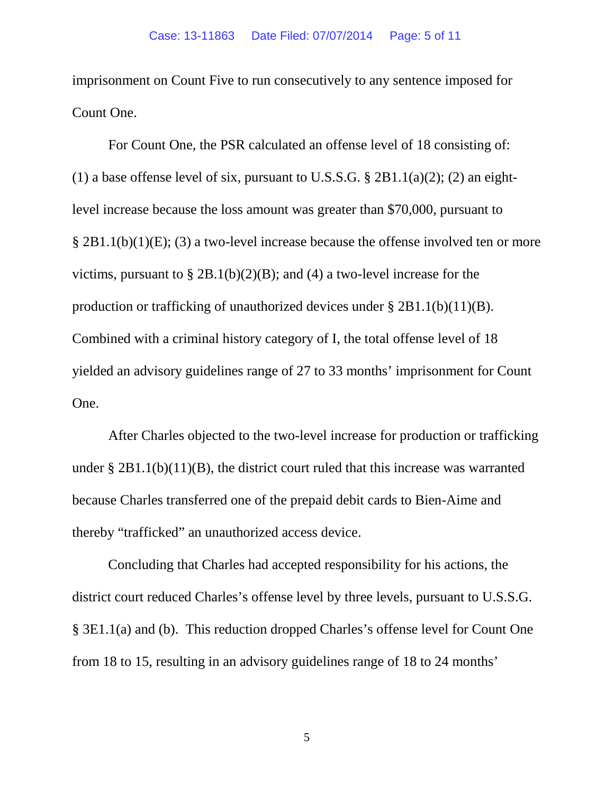imprisonment on Count Five to run consecutively to any sentence imposed for Count One.

For Count One, the PSR calculated an offense level of 18 consisting of: (1) a base offense level of six, pursuant to U.S.S.G.  $\S 2B1.1(a)(2)$ ; (2) an eightlevel increase because the loss amount was greater than \$70,000, pursuant to § 2B1.1(b)(1)(E); (3) a two-level increase because the offense involved ten or more victims, pursuant to  $\S 2B.1(b)(2)(B)$ ; and (4) a two-level increase for the production or trafficking of unauthorized devices under  $\S 2B1.1(b)(11)(B)$ . Combined with a criminal history category of I, the total offense level of 18 yielded an advisory guidelines range of 27 to 33 months' imprisonment for Count One.

After Charles objected to the two-level increase for production or trafficking under  $\S 2B1.1(b)(11)(B)$ , the district court ruled that this increase was warranted because Charles transferred one of the prepaid debit cards to Bien-Aime and thereby "trafficked" an unauthorized access device.

Concluding that Charles had accepted responsibility for his actions, the district court reduced Charles's offense level by three levels, pursuant to U.S.S.G. § 3E1.1(a) and (b). This reduction dropped Charles's offense level for Count One from 18 to 15, resulting in an advisory guidelines range of 18 to 24 months'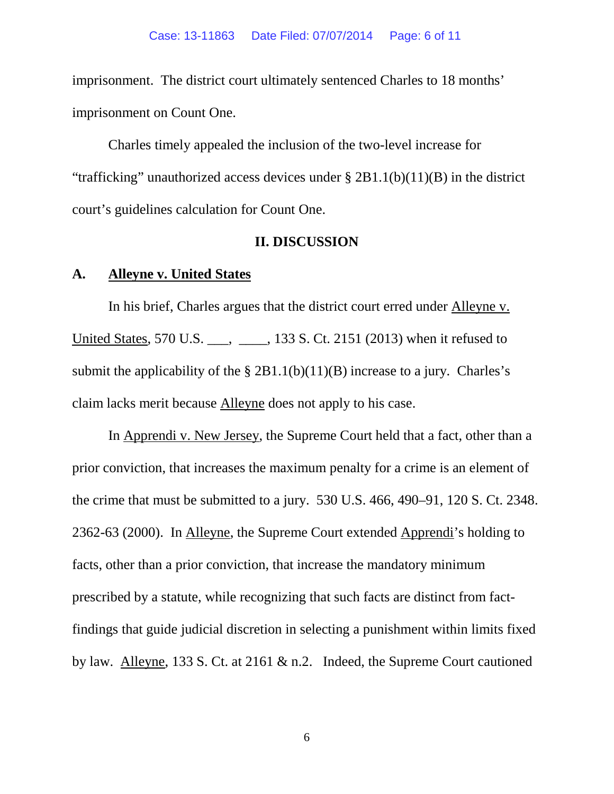imprisonment. The district court ultimately sentenced Charles to 18 months' imprisonment on Count One.

Charles timely appealed the inclusion of the two-level increase for "trafficking" unauthorized access devices under  $\S 2B1.1(b)(11)(B)$  in the district court's guidelines calculation for Count One.

#### **II. DISCUSSION**

## **A. Alleyne v. United States**

In his brief, Charles argues that the district court erred under Alleyne v. United States, 570 U.S. \_\_\_, \_\_\_, 133 S. Ct. 2151 (2013) when it refused to submit the applicability of the  $\S 2B1.1(b)(11)(B)$  increase to a jury. Charles's claim lacks merit because Alleyne does not apply to his case.

In Apprendi v. New Jersey, the Supreme Court held that a fact, other than a prior conviction, that increases the maximum penalty for a crime is an element of the crime that must be submitted to a jury. 530 U.S. 466, 490–91, 120 S. Ct. 2348. 2362-63 (2000). In Alleyne, the Supreme Court extended Apprendi's holding to facts, other than a prior conviction, that increase the mandatory minimum prescribed by a statute, while recognizing that such facts are distinct from factfindings that guide judicial discretion in selecting a punishment within limits fixed by law. Alleyne, 133 S. Ct. at 2161 & n.2. Indeed, the Supreme Court cautioned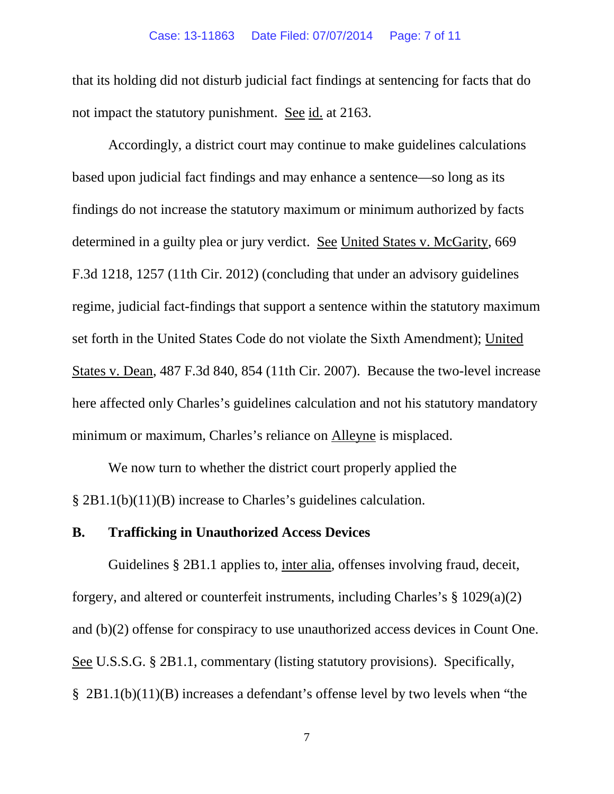that its holding did not disturb judicial fact findings at sentencing for facts that do not impact the statutory punishment. See id. at 2163.

Accordingly, a district court may continue to make guidelines calculations based upon judicial fact findings and may enhance a sentence—so long as its findings do not increase the statutory maximum or minimum authorized by facts determined in a guilty plea or jury verdict. See United States v. McGarity, 669 F.3d 1218, 1257 (11th Cir. 2012) (concluding that under an advisory guidelines regime, judicial fact-findings that support a sentence within the statutory maximum set forth in the United States Code do not violate the Sixth Amendment); United States v. Dean, 487 F.3d 840, 854 (11th Cir. 2007). Because the two-level increase here affected only Charles's guidelines calculation and not his statutory mandatory minimum or maximum, Charles's reliance on Alleyne is misplaced.

We now turn to whether the district court properly applied the § 2B1.1(b)(11)(B) increase to Charles's guidelines calculation.

#### **B. Trafficking in Unauthorized Access Devices**

Guidelines § 2B1.1 applies to, inter alia, offenses involving fraud, deceit, forgery, and altered or counterfeit instruments, including Charles's § 1029(a)(2) and (b)(2) offense for conspiracy to use unauthorized access devices in Count One. See U.S.S.G. § 2B1.1, commentary (listing statutory provisions). Specifically, § 2B1.1(b)(11)(B) increases a defendant's offense level by two levels when "the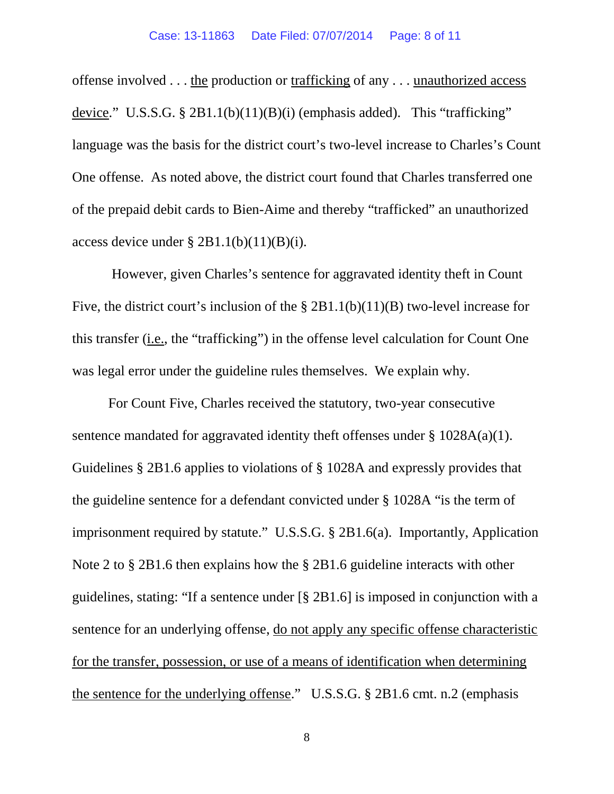offense involved . . . the production or trafficking of any . . . unauthorized access device." U.S.S.G. § 2B1.1(b)(11)(B)(i) (emphasis added). This "trafficking" language was the basis for the district court's two-level increase to Charles's Count One offense. As noted above, the district court found that Charles transferred one of the prepaid debit cards to Bien-Aime and thereby "trafficked" an unauthorized access device under  $\S 2B1.1(b)(11)(B)(i)$ .

However, given Charles's sentence for aggravated identity theft in Count Five, the district court's inclusion of the § 2B1.1(b)(11)(B) two-level increase for this transfer (i.e., the "trafficking") in the offense level calculation for Count One was legal error under the guideline rules themselves. We explain why.

For Count Five, Charles received the statutory, two-year consecutive sentence mandated for aggravated identity theft offenses under § 1028A(a)(1). Guidelines § 2B1.6 applies to violations of § 1028A and expressly provides that the guideline sentence for a defendant convicted under § 1028A "is the term of imprisonment required by statute." U.S.S.G. § 2B1.6(a). Importantly, Application Note 2 to § 2B1.6 then explains how the § 2B1.6 guideline interacts with other guidelines, stating: "If a sentence under [§ 2B1.6] is imposed in conjunction with a sentence for an underlying offense, do not apply any specific offense characteristic for the transfer, possession, or use of a means of identification when determining the sentence for the underlying offense." U.S.S.G. § 2B1.6 cmt. n.2 (emphasis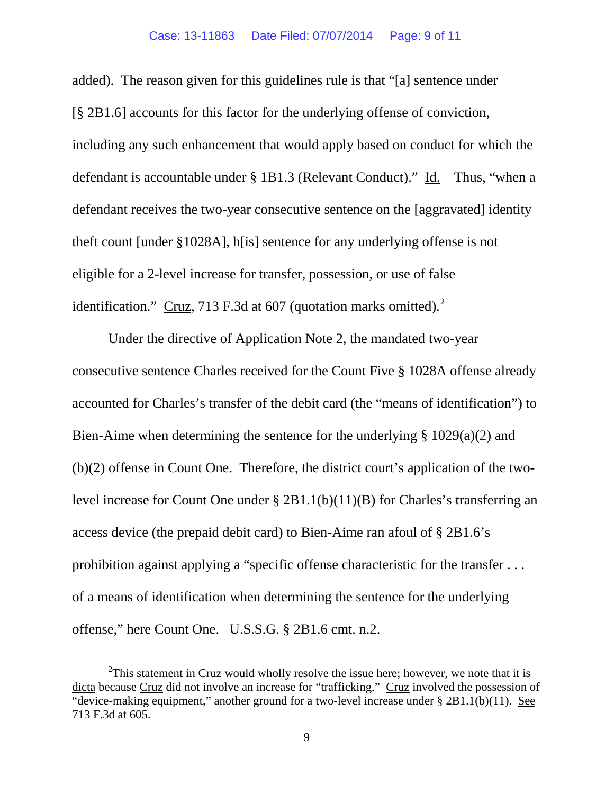#### Case: 13-11863 Date Filed: 07/07/2014 Page: 9 of 11

added). The reason given for this guidelines rule is that "[a] sentence under [§ 2B1.6] accounts for this factor for the underlying offense of conviction, including any such enhancement that would apply based on conduct for which the defendant is accountable under § 1B1.3 (Relevant Conduct)." Id. Thus, "when a defendant receives the two-year consecutive sentence on the [aggravated] identity theft count [under §1028A], h[is] sentence for any underlying offense is not eligible for a 2-level increase for transfer, possession, or use of false identification." Cruz, 713 F.3d at 607 (quotation marks omitted). $2^2$  $2^2$ 

Under the directive of Application Note 2, the mandated two-year consecutive sentence Charles received for the Count Five § 1028A offense already accounted for Charles's transfer of the debit card (the "means of identification") to Bien-Aime when determining the sentence for the underlying § 1029(a)(2) and (b)(2) offense in Count One. Therefore, the district court's application of the twolevel increase for Count One under § 2B1.1(b)(11)(B) for Charles's transferring an access device (the prepaid debit card) to Bien-Aime ran afoul of § 2B1.6's prohibition against applying a "specific offense characteristic for the transfer . . . of a means of identification when determining the sentence for the underlying offense," here Count One. U.S.S.G. § 2B1.6 cmt. n.2.

<span id="page-8-0"></span> $\overline{\phantom{a}}$  2  $2$ This statement in Cruz would wholly resolve the issue here; however, we note that it is dicta because Cruz did not involve an increase for "trafficking." Cruz involved the possession of "device-making equipment," another ground for a two-level increase under § 2B1.1(b)(11). See 713 F.3d at 605.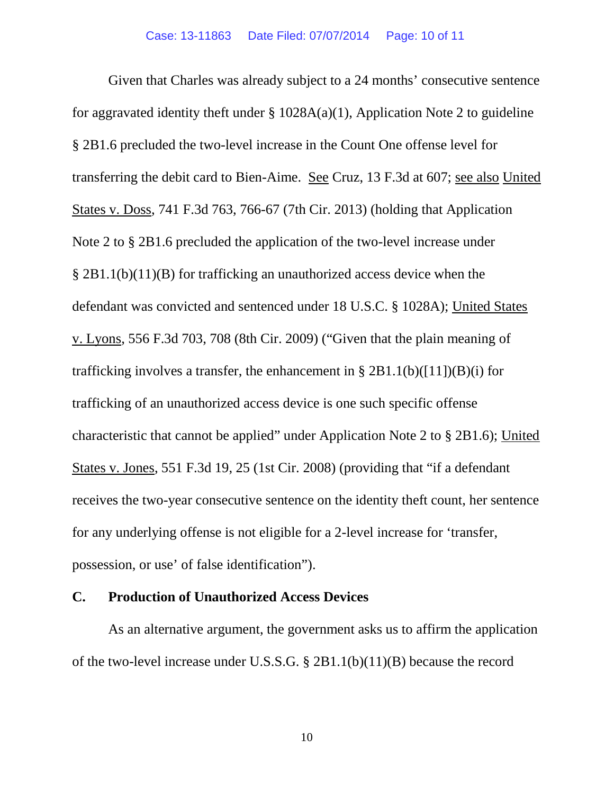Given that Charles was already subject to a 24 months' consecutive sentence for aggravated identity theft under  $\S$  1028A(a)(1), Application Note 2 to guideline § 2B1.6 precluded the two-level increase in the Count One offense level for transferring the debit card to Bien-Aime. See Cruz, 13 F.3d at 607; see also United States v. Doss, 741 F.3d 763, 766-67 (7th Cir. 2013) (holding that Application Note 2 to § 2B1.6 precluded the application of the two-level increase under § 2B1.1(b)(11)(B) for trafficking an unauthorized access device when the defendant was convicted and sentenced under 18 U.S.C. § 1028A); United States v. Lyons, 556 F.3d 703, 708 (8th Cir. 2009) ("Given that the plain meaning of trafficking involves a transfer, the enhancement in §  $2B1.1(b)([11])(B)(i)$  for trafficking of an unauthorized access device is one such specific offense characteristic that cannot be applied" under Application Note 2 to § 2B1.6); United States v. Jones, 551 F.3d 19, 25 (1st Cir. 2008) (providing that "if a defendant receives the two-year consecutive sentence on the identity theft count, her sentence for any underlying offense is not eligible for a 2-level increase for 'transfer, possession, or use' of false identification").

## **C. Production of Unauthorized Access Devices**

As an alternative argument, the government asks us to affirm the application of the two-level increase under U.S.S.G. § 2B1.1(b)(11)(B) because the record